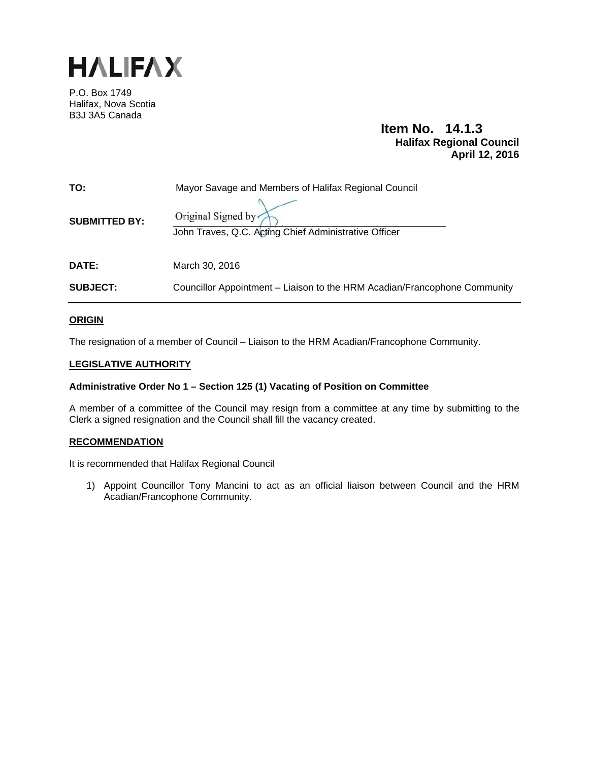

P.O. Box 1749 Halifax, Nova Scotia B3J 3A5 Canada

# **Item No. 14.1.3 Halifax Regional Council April 12, 2016**

| TO:                  | Mayor Savage and Members of Halifax Regional Council                        |
|----------------------|-----------------------------------------------------------------------------|
| <b>SUBMITTED BY:</b> | Original Signed by<br>John Traves, Q.C. Acting Chief Administrative Officer |
| DATE:                | March 30, 2016                                                              |
| <b>SUBJECT:</b>      | Councillor Appointment – Liaison to the HRM Acadian/Francophone Community   |

# **ORIGIN**

The resignation of a member of Council – Liaison to the HRM Acadian/Francophone Community.

# **LEGISLATIVE AUTHORITY**

# **Administrative Order No 1 – Section 125 (1) Vacating of Position on Committee**

A member of a committee of the Council may resign from a committee at any time by submitting to the Clerk a signed resignation and the Council shall fill the vacancy created.

## **RECOMMENDATION**

It is recommended that Halifax Regional Council

1) Appoint Councillor Tony Mancini to act as an official liaison between Council and the HRM Acadian/Francophone Community.